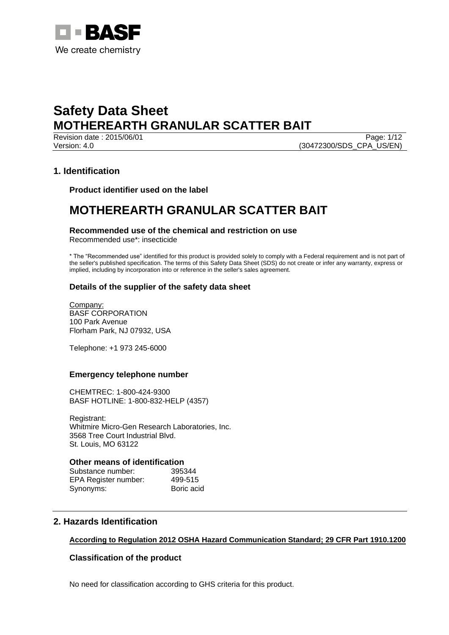

Revision date : 2015/06/01 Version: 4.0 (30472300/SDS\_CPA\_US/EN)

# **1. Identification**

**Product identifier used on the label**

# **MOTHEREARTH GRANULAR SCATTER BAIT**

# **Recommended use of the chemical and restriction on use**

Recommended use\*: insecticide

\* The "Recommended use" identified for this product is provided solely to comply with a Federal requirement and is not part of the seller's published specification. The terms of this Safety Data Sheet (SDS) do not create or infer any warranty, express or implied, including by incorporation into or reference in the seller's sales agreement.

# **Details of the supplier of the safety data sheet**

Company: BASF CORPORATION 100 Park Avenue Florham Park, NJ 07932, USA

Telephone: +1 973 245-6000

# **Emergency telephone number**

CHEMTREC: 1-800-424-9300 BASF HOTLINE: 1-800-832-HELP (4357)

Registrant: Whitmire Micro-Gen Research Laboratories, Inc. 3568 Tree Court Industrial Blvd. St. Louis, MO 63122

#### **Other means of identification**

Substance number: 395344 EPA Register number: 499-515 Synonyms: Boric acid

# **2. Hazards Identification**

# **According to Regulation 2012 OSHA Hazard Communication Standard; 29 CFR Part 1910.1200**

# **Classification of the product**

No need for classification according to GHS criteria for this product.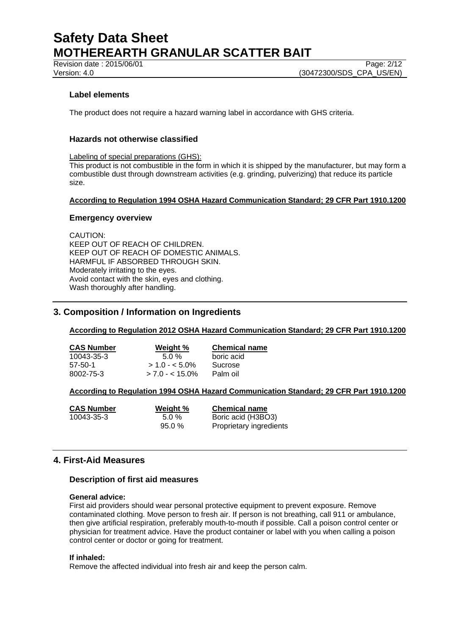Revision date : 2015/06/01 Page: 2/12

# **Label elements**

The product does not require a hazard warning label in accordance with GHS criteria.

# **Hazards not otherwise classified**

Labeling of special preparations (GHS):

This product is not combustible in the form in which it is shipped by the manufacturer, but may form a combustible dust through downstream activities (e.g. grinding, pulverizing) that reduce its particle size.

#### **According to Regulation 1994 OSHA Hazard Communication Standard; 29 CFR Part 1910.1200**

#### **Emergency overview**

CAUTION:

KEEP OUT OF REACH OF CHILDREN. KEEP OUT OF REACH OF DOMESTIC ANIMALS. HARMFUL IF ABSORBED THROUGH SKIN. Moderately irritating to the eyes. Avoid contact with the skin, eyes and clothing. Wash thoroughly after handling.

# **3. Composition / Information on Ingredients**

**According to Regulation 2012 OSHA Hazard Communication Standard; 29 CFR Part 1910.1200**

| <b>CAS Number</b> | Weight %        | <b>Chemical name</b> |
|-------------------|-----------------|----------------------|
| 10043-35-3        | $5.0\%$         | boric acid           |
| 57-50-1           | $> 1.0 - 5.0\%$ | Sucrose              |
| 8002-75-3         | $> 7.0 - 5.0\%$ | Palm oil             |

# **According to Regulation 1994 OSHA Hazard Communication Standard; 29 CFR Part 1910.1200**

| <b>CAS Number</b> | Weight %  | <b>Chemical name</b>    |
|-------------------|-----------|-------------------------|
| 10043-35-3        | $5.0\%$   | Boric acid (H3BO3)      |
|                   | $95.0 \%$ | Proprietary ingredients |

# **4. First-Aid Measures**

#### **Description of first aid measures**

#### **General advice:**

First aid providers should wear personal protective equipment to prevent exposure. Remove contaminated clothing. Move person to fresh air. If person is not breathing, call 911 or ambulance, then give artificial respiration, preferably mouth-to-mouth if possible. Call a poison control center or physician for treatment advice. Have the product container or label with you when calling a poison control center or doctor or going for treatment.

#### **If inhaled:**

Remove the affected individual into fresh air and keep the person calm.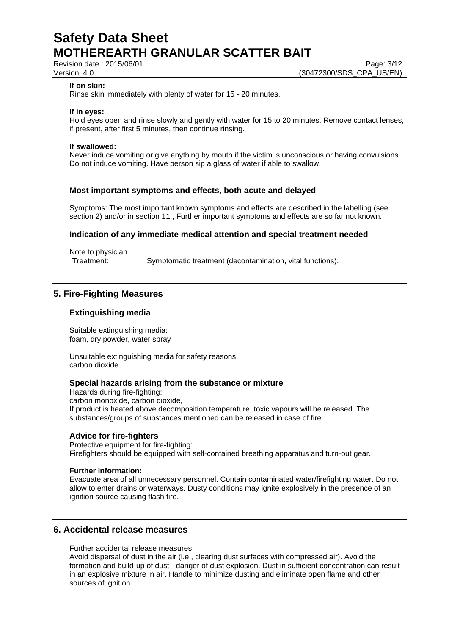Revision date : 2015/06/01

Version: 4.0 (30472300/SDS\_CPA\_US/EN)

#### **If on skin:**

Rinse skin immediately with plenty of water for 15 - 20 minutes.

#### **If in eyes:**

Hold eyes open and rinse slowly and gently with water for 15 to 20 minutes. Remove contact lenses, if present, after first 5 minutes, then continue rinsing.

#### **If swallowed:**

Never induce vomiting or give anything by mouth if the victim is unconscious or having convulsions. Do not induce vomiting. Have person sip a glass of water if able to swallow.

#### **Most important symptoms and effects, both acute and delayed**

Symptoms: The most important known symptoms and effects are described in the labelling (see section 2) and/or in section 11., Further important symptoms and effects are so far not known.

#### **Indication of any immediate medical attention and special treatment needed**

Note to physician<br>Treatment:

Symptomatic treatment (decontamination, vital functions).

# **5. Fire-Fighting Measures**

#### **Extinguishing media**

Suitable extinguishing media: foam, dry powder, water spray

Unsuitable extinguishing media for safety reasons: carbon dioxide

#### **Special hazards arising from the substance or mixture**

Hazards during fire-fighting: carbon monoxide, carbon dioxide, If product is heated above decomposition temperature, toxic vapours will be released. The substances/groups of substances mentioned can be released in case of fire.

#### **Advice for fire-fighters**

Protective equipment for fire-fighting: Firefighters should be equipped with self-contained breathing apparatus and turn-out gear.

#### **Further information:**

Evacuate area of all unnecessary personnel. Contain contaminated water/firefighting water. Do not allow to enter drains or waterways. Dusty conditions may ignite explosively in the presence of an ignition source causing flash fire.

# **6. Accidental release measures**

Further accidental release measures:

Avoid dispersal of dust in the air (i.e., clearing dust surfaces with compressed air). Avoid the formation and build-up of dust - danger of dust explosion. Dust in sufficient concentration can result in an explosive mixture in air. Handle to minimize dusting and eliminate open flame and other sources of ignition.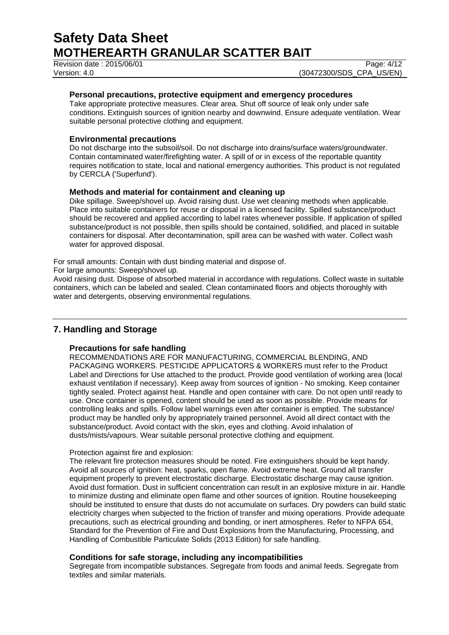Revision date : 2015/06/01 Page: 4/12

#### **Personal precautions, protective equipment and emergency procedures**

Take appropriate protective measures. Clear area. Shut off source of leak only under safe conditions. Extinguish sources of ignition nearby and downwind. Ensure adequate ventilation. Wear suitable personal protective clothing and equipment.

#### **Environmental precautions**

Do not discharge into the subsoil/soil. Do not discharge into drains/surface waters/groundwater. Contain contaminated water/firefighting water. A spill of or in excess of the reportable quantity requires notification to state, local and national emergency authorities. This product is not regulated by CERCLA ('Superfund').

#### **Methods and material for containment and cleaning up**

Dike spillage. Sweep/shovel up. Avoid raising dust. Use wet cleaning methods when applicable. Place into suitable containers for reuse or disposal in a licensed facility. Spilled substance/product should be recovered and applied according to label rates whenever possible. If application of spilled substance/product is not possible, then spills should be contained, solidified, and placed in suitable containers for disposal. After decontamination, spill area can be washed with water. Collect wash water for approved disposal.

For small amounts: Contain with dust binding material and dispose of.

For large amounts: Sweep/shovel up.

Avoid raising dust. Dispose of absorbed material in accordance with regulations. Collect waste in suitable containers, which can be labeled and sealed. Clean contaminated floors and objects thoroughly with water and detergents, observing environmental regulations.

# **7. Handling and Storage**

#### **Precautions for safe handling**

RECOMMENDATIONS ARE FOR MANUFACTURING, COMMERCIAL BLENDING, AND PACKAGING WORKERS. PESTICIDE APPLICATORS & WORKERS must refer to the Product Label and Directions for Use attached to the product. Provide good ventilation of working area (local exhaust ventilation if necessary). Keep away from sources of ignition - No smoking. Keep container tightly sealed. Protect against heat. Handle and open container with care. Do not open until ready to use. Once container is opened, content should be used as soon as possible. Provide means for controlling leaks and spills. Follow label warnings even after container is emptied. The substance/ product may be handled only by appropriately trained personnel. Avoid all direct contact with the substance/product. Avoid contact with the skin, eyes and clothing. Avoid inhalation of dusts/mists/vapours. Wear suitable personal protective clothing and equipment.

#### Protection against fire and explosion:

The relevant fire protection measures should be noted. Fire extinguishers should be kept handy. Avoid all sources of ignition: heat, sparks, open flame. Avoid extreme heat. Ground all transfer equipment properly to prevent electrostatic discharge. Electrostatic discharge may cause ignition. Avoid dust formation. Dust in sufficient concentration can result in an explosive mixture in air. Handle to minimize dusting and eliminate open flame and other sources of ignition. Routine housekeeping should be instituted to ensure that dusts do not accumulate on surfaces. Dry powders can build static electricity charges when subjected to the friction of transfer and mixing operations. Provide adequate precautions, such as electrical grounding and bonding, or inert atmospheres. Refer to NFPA 654, Standard for the Prevention of Fire and Dust Explosions from the Manufacturing, Processing, and Handling of Combustible Particulate Solids (2013 Edition) for safe handling.

#### **Conditions for safe storage, including any incompatibilities**

Segregate from incompatible substances. Segregate from foods and animal feeds. Segregate from textiles and similar materials.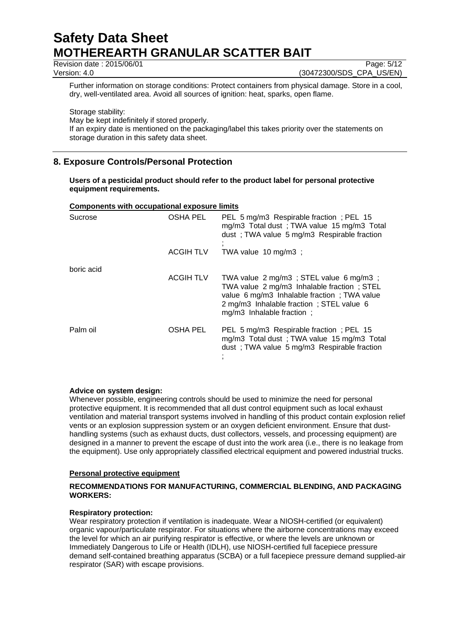Revision date : 2015/06/01 Page: 5/12

Version: 4.0 (30472300/SDS\_CPA\_US/EN)

Further information on storage conditions: Protect containers from physical damage. Store in a cool, dry, well-ventilated area. Avoid all sources of ignition: heat, sparks, open flame.

Storage stability:

May be kept indefinitely if stored properly.

If an expiry date is mentioned on the packaging/label this takes priority over the statements on storage duration in this safety data sheet.

# **8. Exposure Controls/Personal Protection**

#### **Users of a pesticidal product should refer to the product label for personal protective equipment requirements.**

#### **Components with occupational exposure limits**

| Sucrose    | OSHA PEL         | PEL 5 mg/m3 Respirable fraction; PEL 15<br>mg/m3 Total dust; TWA value 15 mg/m3 Total<br>dust; TWA value 5 mg/m3 Respirable fraction                                                                            |
|------------|------------------|-----------------------------------------------------------------------------------------------------------------------------------------------------------------------------------------------------------------|
|            | <b>ACGIH TLV</b> | TWA value $10 \text{ mg/m3}$ ;                                                                                                                                                                                  |
| boric acid |                  |                                                                                                                                                                                                                 |
|            | <b>ACGIH TLV</b> | TWA value 2 mg/m3 ; STEL value 6 mg/m3 ;<br>TWA value 2 mg/m3 Inhalable fraction ; STEL<br>value 6 mg/m3 Inhalable fraction; TWA value<br>2 mg/m3 Inhalable fraction; STEL value 6<br>mg/m3 Inhalable fraction; |
| Palm oil   | <b>OSHA PEL</b>  | PEL 5 mg/m3 Respirable fraction; PEL 15<br>mg/m3 Total dust; TWA value 15 mg/m3 Total<br>dust; TWA value 5 mg/m3 Respirable fraction                                                                            |

# **Advice on system design:**

Whenever possible, engineering controls should be used to minimize the need for personal protective equipment. It is recommended that all dust control equipment such as local exhaust ventilation and material transport systems involved in handling of this product contain explosion relief vents or an explosion suppression system or an oxygen deficient environment. Ensure that dusthandling systems (such as exhaust ducts, dust collectors, vessels, and processing equipment) are designed in a manner to prevent the escape of dust into the work area (i.e., there is no leakage from the equipment). Use only appropriately classified electrical equipment and powered industrial trucks.

#### **Personal protective equipment**

#### **RECOMMENDATIONS FOR MANUFACTURING, COMMERCIAL BLENDING, AND PACKAGING WORKERS:**

# **Respiratory protection:**

Wear respiratory protection if ventilation is inadequate. Wear a NIOSH-certified (or equivalent) organic vapour/particulate respirator. For situations where the airborne concentrations may exceed the level for which an air purifying respirator is effective, or where the levels are unknown or Immediately Dangerous to Life or Health (IDLH), use NIOSH-certified full facepiece pressure demand self-contained breathing apparatus (SCBA) or a full facepiece pressure demand supplied-air respirator (SAR) with escape provisions.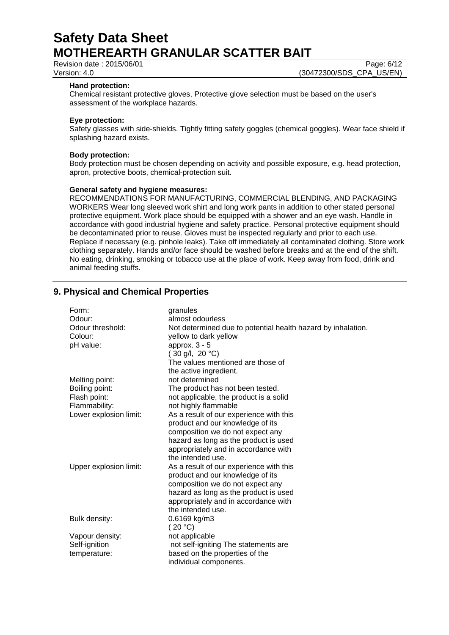Revision date : 2015/06/01 Page: 6/12

Version: 4.0 (30472300/SDS\_CPA\_US/EN)

#### **Hand protection:**

Chemical resistant protective gloves, Protective glove selection must be based on the user's assessment of the workplace hazards.

#### **Eye protection:**

Safety glasses with side-shields. Tightly fitting safety goggles (chemical goggles). Wear face shield if splashing hazard exists.

#### **Body protection:**

Body protection must be chosen depending on activity and possible exposure, e.g. head protection, apron, protective boots, chemical-protection suit.

#### **General safety and hygiene measures:**

RECOMMENDATIONS FOR MANUFACTURING, COMMERCIAL BLENDING, AND PACKAGING WORKERS Wear long sleeved work shirt and long work pants in addition to other stated personal protective equipment. Work place should be equipped with a shower and an eye wash. Handle in accordance with good industrial hygiene and safety practice. Personal protective equipment should be decontaminated prior to reuse. Gloves must be inspected regularly and prior to each use. Replace if necessary (e.g. pinhole leaks). Take off immediately all contaminated clothing. Store work clothing separately. Hands and/or face should be washed before breaks and at the end of the shift. No eating, drinking, smoking or tobacco use at the place of work. Keep away from food, drink and animal feeding stuffs.

# **9. Physical and Chemical Properties**

| Form:<br>Odour:<br>Odour threshold:<br>Colour:<br>pH value: | granules<br>almost odourless<br>Not determined due to potential health hazard by inhalation.<br>yellow to dark yellow<br>approx. $3 - 5$<br>$(30 \text{ g/l}, 20 \text{ °C})$<br>The values mentioned are those of<br>the active ingredient. |
|-------------------------------------------------------------|----------------------------------------------------------------------------------------------------------------------------------------------------------------------------------------------------------------------------------------------|
| Melting point:                                              | not determined                                                                                                                                                                                                                               |
| Boiling point:                                              | The product has not been tested.                                                                                                                                                                                                             |
| Flash point:                                                | not applicable, the product is a solid                                                                                                                                                                                                       |
| Flammability:                                               | not highly flammable                                                                                                                                                                                                                         |
| Lower explosion limit:                                      | As a result of our experience with this                                                                                                                                                                                                      |
|                                                             | product and our knowledge of its                                                                                                                                                                                                             |
|                                                             | composition we do not expect any                                                                                                                                                                                                             |
|                                                             | hazard as long as the product is used                                                                                                                                                                                                        |
|                                                             | appropriately and in accordance with                                                                                                                                                                                                         |
|                                                             | the intended use.                                                                                                                                                                                                                            |
| Upper explosion limit:                                      | As a result of our experience with this                                                                                                                                                                                                      |
|                                                             | product and our knowledge of its                                                                                                                                                                                                             |
|                                                             | composition we do not expect any                                                                                                                                                                                                             |
|                                                             | hazard as long as the product is used                                                                                                                                                                                                        |
|                                                             | appropriately and in accordance with                                                                                                                                                                                                         |
|                                                             | the intended use.                                                                                                                                                                                                                            |
| Bulk density:                                               | 0.6169 kg/m3<br>(20 °C)                                                                                                                                                                                                                      |
| Vapour density:                                             | not applicable                                                                                                                                                                                                                               |
| Self-ignition                                               | not self-igniting The statements are                                                                                                                                                                                                         |
| temperature:                                                | based on the properties of the                                                                                                                                                                                                               |
|                                                             | individual components.                                                                                                                                                                                                                       |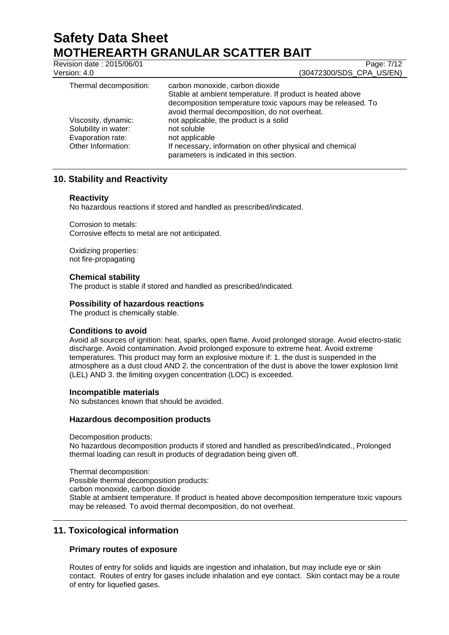Revision date : 2015/06/01 Page: 7/12 Version: 4.0 (30472300/SDS\_CPA\_US/EN)

| Thermal decomposition:                      | carbon monoxide, carbon dioxide<br>Stable at ambient temperature. If product is heated above<br>decomposition temperature toxic vapours may be released. To<br>avoid thermal decomposition, do not overheat. |
|---------------------------------------------|--------------------------------------------------------------------------------------------------------------------------------------------------------------------------------------------------------------|
| Viscosity, dynamic:<br>Solubility in water: | not applicable, the product is a solid<br>not soluble                                                                                                                                                        |
| Evaporation rate:                           | not applicable                                                                                                                                                                                               |
| Other Information:                          | If necessary, information on other physical and chemical<br>parameters is indicated in this section.                                                                                                         |

# **10. Stability and Reactivity**

# **Reactivity**

No hazardous reactions if stored and handled as prescribed/indicated.

Corrosion to metals: Corrosive effects to metal are not anticipated.

Oxidizing properties: not fire-propagating

# **Chemical stability**

The product is stable if stored and handled as prescribed/indicated.

#### **Possibility of hazardous reactions**

The product is chemically stable.

# **Conditions to avoid**

Avoid all sources of ignition: heat, sparks, open flame. Avoid prolonged storage. Avoid electro-static discharge. Avoid contamination. Avoid prolonged exposure to extreme heat. Avoid extreme temperatures. This product may form an explosive mixture if: 1. the dust is suspended in the atmosphere as a dust cloud AND 2. the concentration of the dust is above the lower explosion limit (LEL) AND 3. the limiting oxygen concentration (LOC) is exceeded.

#### **Incompatible materials**

No substances known that should be avoided.

#### **Hazardous decomposition products**

Decomposition products:

No hazardous decomposition products if stored and handled as prescribed/indicated., Prolonged thermal loading can result in products of degradation being given off.

Thermal decomposition:

Possible thermal decomposition products:

carbon monoxide, carbon dioxide

Stable at ambient temperature. If product is heated above decomposition temperature toxic vapours may be released. To avoid thermal decomposition, do not overheat.

# **11. Toxicological information**

# **Primary routes of exposure**

Routes of entry for solids and liquids are ingestion and inhalation, but may include eye or skin contact. Routes of entry for gases include inhalation and eye contact. Skin contact may be a route of entry for liquefied gases.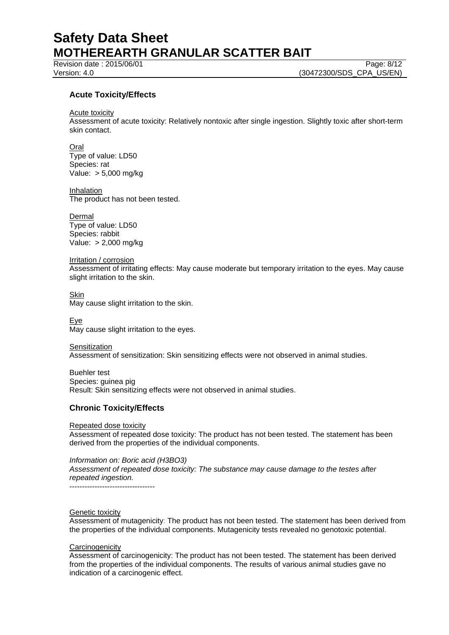Revision date : 2015/06/01 Page: 8/12

Version: 4.0 (30472300/SDS\_CPA\_US/EN)

# **Acute Toxicity/Effects**

Acute toxicity

Assessment of acute toxicity: Relatively nontoxic after single ingestion. Slightly toxic after short-term skin contact.

Oral Type of value: LD50 Species: rat Value: > 5,000 mg/kg

Inhalation The product has not been tested.

**Dermal** Type of value: LD50 Species: rabbit Value: > 2,000 mg/kg

Irritation / corrosion Assessment of irritating effects: May cause moderate but temporary irritation to the eyes. May cause slight irritation to the skin.

Skin May cause slight irritation to the skin.

Eye May cause slight irritation to the eyes.

**Sensitization** Assessment of sensitization: Skin sensitizing effects were not observed in animal studies.

Buehler test Species: guinea pig Result: Skin sensitizing effects were not observed in animal studies.

# **Chronic Toxicity/Effects**

Repeated dose toxicity

Assessment of repeated dose toxicity: The product has not been tested. The statement has been derived from the properties of the individual components.

*Information on: Boric acid (H3BO3)*

*Assessment of repeated dose toxicity: The substance may cause damage to the testes after repeated ingestion.*

----------------------------------

#### Genetic toxicity

Assessment of mutagenicity: The product has not been tested. The statement has been derived from the properties of the individual components. Mutagenicity tests revealed no genotoxic potential.

#### **Carcinogenicity**

Assessment of carcinogenicity: The product has not been tested. The statement has been derived from the properties of the individual components. The results of various animal studies gave no indication of a carcinogenic effect.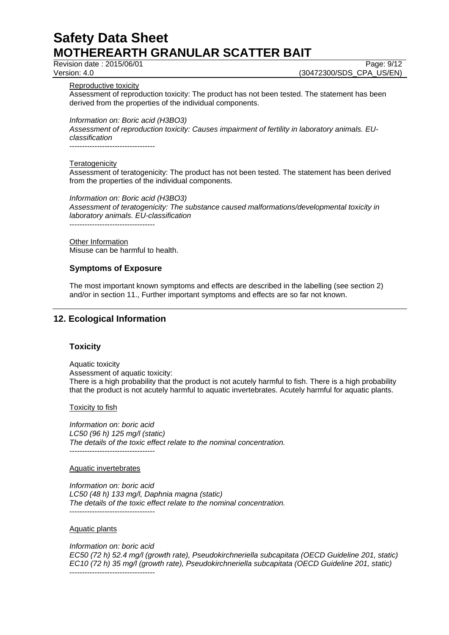Revision date : 2015/06/01 Page: 9/12

Version: 4.0 (30472300/SDS\_CPA\_US/EN)

Reproductive toxicity

Assessment of reproduction toxicity: The product has not been tested. The statement has been derived from the properties of the individual components.

*Information on: Boric acid (H3BO3)*

*Assessment of reproduction toxicity: Causes impairment of fertility in laboratory animals. EUclassification*

#### **Teratogenicity**

Assessment of teratogenicity: The product has not been tested. The statement has been derived from the properties of the individual components.

*Information on: Boric acid (H3BO3) Assessment of teratogenicity: The substance caused malformations/developmental toxicity in laboratory animals. EU-classification* ----------------------------------

Other Information Misuse can be harmful to health.

# **Symptoms of Exposure**

The most important known symptoms and effects are described in the labelling (see section 2) and/or in section 11., Further important symptoms and effects are so far not known.

# **12. Ecological Information**

# **Toxicity**

Aquatic toxicity Assessment of aquatic toxicity: There is a high probability that the product is not acutely harmful to fish. There is a high probability that the product is not acutely harmful to aquatic invertebrates. Acutely harmful for aquatic plants.

Toxicity to fish

*Information on: boric acid LC50 (96 h) 125 mg/l (static) The details of the toxic effect relate to the nominal concentration.* ----------------------------------

#### Aquatic invertebrates

*Information on: boric acid LC50 (48 h) 133 mg/l, Daphnia magna (static) The details of the toxic effect relate to the nominal concentration.* ----------------------------------

#### Aquatic plants

*Information on: boric acid EC50 (72 h) 52.4 mg/l (growth rate), Pseudokirchneriella subcapitata (OECD Guideline 201, static) EC10 (72 h) 35 mg/l (growth rate), Pseudokirchneriella subcapitata (OECD Guideline 201, static)* ----------------------------------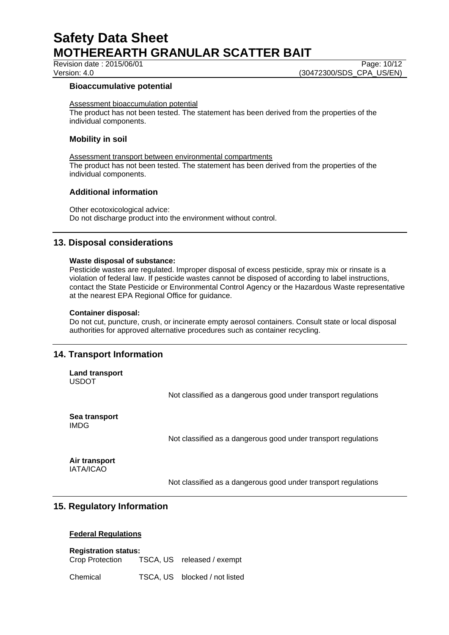Revision date : 2015/06/01 Page: 10/12

Version: 4.0 (30472300/SDS\_CPA\_US/EN)

#### **Bioaccumulative potential**

Assessment bioaccumulation potential

The product has not been tested. The statement has been derived from the properties of the individual components.

### **Mobility in soil**

Assessment transport between environmental compartments The product has not been tested. The statement has been derived from the properties of the individual components.

# **Additional information**

Other ecotoxicological advice: Do not discharge product into the environment without control.

# **13. Disposal considerations**

#### **Waste disposal of substance:**

Pesticide wastes are regulated. Improper disposal of excess pesticide, spray mix or rinsate is a violation of federal law. If pesticide wastes cannot be disposed of according to label instructions, contact the State Pesticide or Environmental Control Agency or the Hazardous Waste representative at the nearest EPA Regional Office for guidance.

#### **Container disposal:**

Do not cut, puncture, crush, or incinerate empty aerosol containers. Consult state or local disposal authorities for approved alternative procedures such as container recycling.

# **14. Transport Information**

**Land transport** USDOT

Not classified as a dangerous good under transport regulations

**Sea transport** IMDG

Not classified as a dangerous good under transport regulations

**Air transport** IATA/ICAO

Not classified as a dangerous good under transport regulations

# **15. Regulatory Information**

# **Federal Regulations**

#### **Registration status:**

Crop Protection TSCA, US released / exempt

Chemical TSCA, US blocked / not listed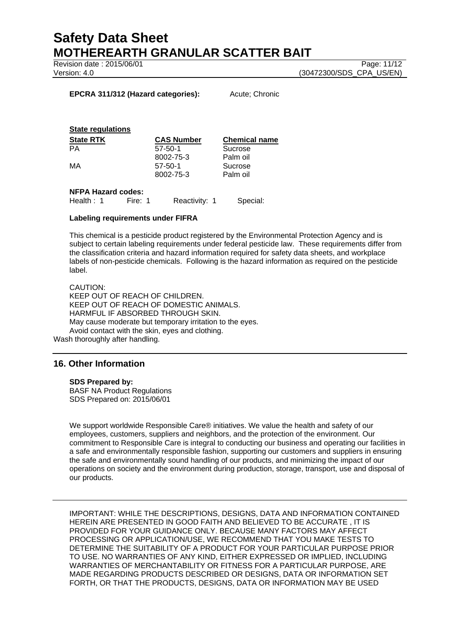Revision date : 2015/06/01 Page: 11/12

Version: 4.0 (30472300/SDS\_CPA\_US/EN)

#### **EPCRA 311/312 (Hazard categories):** Acute; Chronic

#### **State regulations**

| <b>State RTK</b> | <b>CAS Number</b> | <b>Chemical name</b> |
|------------------|-------------------|----------------------|
| PА               | $57 - 50 - 1$     | Sucrose              |
|                  | 8002-75-3         | Palm oil             |
| МA               | $57 - 50 - 1$     | Sucrose              |
|                  | 8002-75-3         | Palm oil             |
|                  |                   |                      |

#### **NFPA Hazard codes:**

Health : 1 Fire: 1 Reactivity: 1 Special:

#### **Labeling requirements under FIFRA**

This chemical is a pesticide product registered by the Environmental Protection Agency and is subject to certain labeling requirements under federal pesticide law. These requirements differ from the classification criteria and hazard information required for safety data sheets, and workplace labels of non-pesticide chemicals. Following is the hazard information as required on the pesticide label.

CAUTION: KEEP OUT OF REACH OF CHILDREN. KEEP OUT OF REACH OF DOMESTIC ANIMALS. HARMFUL IF ABSORBED THROUGH SKIN. May cause moderate but temporary irritation to the eyes. Avoid contact with the skin, eyes and clothing.

Wash thoroughly after handling.

# **16. Other Information**

#### **SDS Prepared by:**

BASF NA Product Regulations SDS Prepared on: 2015/06/01

We support worldwide Responsible Care® initiatives. We value the health and safety of our employees, customers, suppliers and neighbors, and the protection of the environment. Our commitment to Responsible Care is integral to conducting our business and operating our facilities in a safe and environmentally responsible fashion, supporting our customers and suppliers in ensuring the safe and environmentally sound handling of our products, and minimizing the impact of our operations on society and the environment during production, storage, transport, use and disposal of our products.

IMPORTANT: WHILE THE DESCRIPTIONS, DESIGNS, DATA AND INFORMATION CONTAINED HEREIN ARE PRESENTED IN GOOD FAITH AND BELIEVED TO BE ACCURATE , IT IS PROVIDED FOR YOUR GUIDANCE ONLY. BECAUSE MANY FACTORS MAY AFFECT PROCESSING OR APPLICATION/USE, WE RECOMMEND THAT YOU MAKE TESTS TO DETERMINE THE SUITABILITY OF A PRODUCT FOR YOUR PARTICULAR PURPOSE PRIOR TO USE. NO WARRANTIES OF ANY KIND, EITHER EXPRESSED OR IMPLIED, INCLUDING WARRANTIES OF MERCHANTABILITY OR FITNESS FOR A PARTICULAR PURPOSE, ARE MADE REGARDING PRODUCTS DESCRIBED OR DESIGNS, DATA OR INFORMATION SET FORTH, OR THAT THE PRODUCTS, DESIGNS, DATA OR INFORMATION MAY BE USED